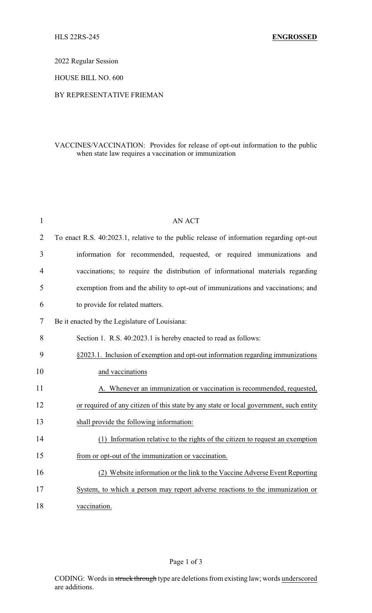2022 Regular Session

HOUSE BILL NO. 600

## BY REPRESENTATIVE FRIEMAN

## VACCINES/VACCINATION: Provides for release of opt-out information to the public when state law requires a vaccination or immunization

| 1              | <b>AN ACT</b>                                                                            |
|----------------|------------------------------------------------------------------------------------------|
| $\overline{2}$ | To enact R.S. 40:2023.1, relative to the public release of information regarding opt-out |
| 3              | information for recommended, requested, or required immunizations and                    |
| 4              | vaccinations; to require the distribution of informational materials regarding           |
| 5              | exemption from and the ability to opt-out of immunizations and vaccinations; and         |
| 6              | to provide for related matters.                                                          |
| $\tau$         | Be it enacted by the Legislature of Louisiana:                                           |
| 8              | Section 1. R.S. 40:2023.1 is hereby enacted to read as follows:                          |
| 9              | §2023.1. Inclusion of exemption and opt-out information regarding immunizations          |
| 10             | and vaccinations                                                                         |
| 11             | A. Whenever an immunization or vaccination is recommended, requested,                    |
| 12             | or required of any citizen of this state by any state or local government, such entity   |
| 13             | shall provide the following information:                                                 |
| 14             | (1) Information relative to the rights of the citizen to request an exemption            |
| 15             | from or opt-out of the immunization or vaccination.                                      |
| 16             | (2) Website information or the link to the Vaccine Adverse Event Reporting               |
| 17             | System, to which a person may report adverse reactions to the immunization or            |
| 18             | vaccination.                                                                             |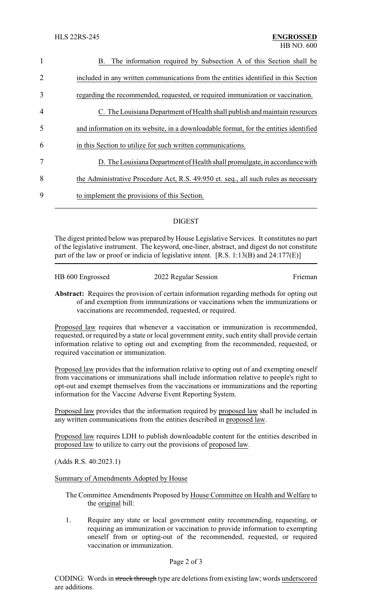| $\mathbf{1}$   | The information required by Subsection A of this Section shall be<br>В.               |
|----------------|---------------------------------------------------------------------------------------|
| 2              | included in any written communications from the entities identified in this Section   |
| 3              | regarding the recommended, requested, or required immunization or vaccination.        |
| $\overline{4}$ | C. The Louisiana Department of Health shall publish and maintain resources            |
| 5              | and information on its website, in a downloadable format, for the entities identified |
| 6              | in this Section to utilize for such written communications.                           |
| 7              | D. The Louisiana Department of Health shall promulgate, in accordance with            |
| 8              | the Administrative Procedure Act, R.S. 49:950 et. seq., all such rules as necessary   |
| 9              | to implement the provisions of this Section.                                          |
|                |                                                                                       |

## DIGEST

The digest printed below was prepared by House Legislative Services. It constitutes no part of the legislative instrument. The keyword, one-liner, abstract, and digest do not constitute part of the law or proof or indicia of legislative intent.  $[R.S. 1:13(B)$  and  $24:177(E)]$ 

| HB 600 Engrossed | 2022 Regular Session | Frieman |
|------------------|----------------------|---------|
|                  |                      |         |

**Abstract:** Requires the provision of certain information regarding methods for opting out of and exemption from immunizations or vaccinations when the immunizations or vaccinations are recommended, requested, or required.

Proposed law requires that whenever a vaccination or immunization is recommended, requested, or required by a state or local government entity, such entity shall provide certain information relative to opting out and exempting from the recommended, requested, or required vaccination or immunization.

Proposed law provides that the information relative to opting out of and exempting oneself from vaccinations or immunizations shall include information relative to people's right to opt-out and exempt themselves from the vaccinations or immunizations and the reporting information for the Vaccine Adverse Event Reporting System.

Proposed law provides that the information required by proposed law shall be included in any written communications from the entities described in proposed law.

Proposed law requires LDH to publish downloadable content for the entities described in proposed law to utilize to carry out the provisions of proposed law.

(Adds R.S. 40:2023.1)

Summary of Amendments Adopted by House

The Committee Amendments Proposed by House Committee on Health and Welfare to the original bill:

1. Require any state or local government entity recommending, requesting, or requiring an immunization or vaccination to provide information to exempting oneself from or opting-out of the recommended, requested, or required vaccination or immunization.